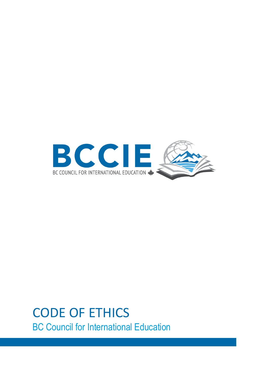

# CODE OF ETHICS BC Council for International Education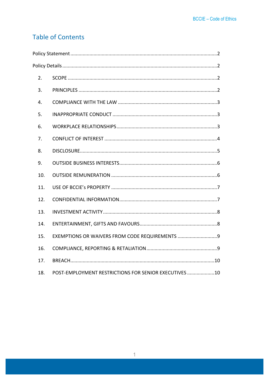# **Table of Contents**

| 2.                                                            |  |  |  |
|---------------------------------------------------------------|--|--|--|
| 3.                                                            |  |  |  |
| 4.                                                            |  |  |  |
| 5.                                                            |  |  |  |
| 6.                                                            |  |  |  |
| 7.                                                            |  |  |  |
| 8.                                                            |  |  |  |
| 9.                                                            |  |  |  |
| 10.                                                           |  |  |  |
| 11.                                                           |  |  |  |
| 12.                                                           |  |  |  |
| 13.                                                           |  |  |  |
| 14.                                                           |  |  |  |
| EXEMPTIONS OR WAIVERS FROM CODE REQUIREMENTS 9<br>15.         |  |  |  |
| 16.                                                           |  |  |  |
| 17.                                                           |  |  |  |
| POST-EMPLOYMENT RESTRICTIONS FOR SENIOR EXECUTIVES  10<br>18. |  |  |  |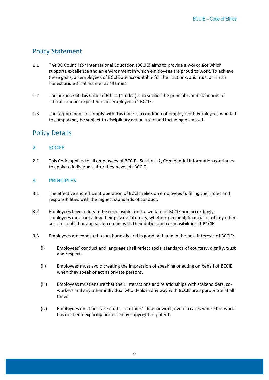# <span id="page-2-0"></span>Policy Statement

- 1.1 The BC Council for International Education (BCCIE) aims to provide a workplace which supports excellence and an environment in which employees are proud to work. To achieve these goals, all employees of BCCIE are accountable for their actions, and must act in an honest and ethical manner at all times.
- 1.2 The purpose of this Code of Ethics ("Code") is to set out the principles and standards of ethical conduct expected of all employees of BCCIE.
- 1.3 The requirement to comply with this Code is a condition of employment. Employees who fail to comply may be subject to disciplinary action up to and including dismissal.

# <span id="page-2-1"></span>Policy Details

## <span id="page-2-2"></span>2. SCOPE

2.1 This Code applies to all employees of BCCIE. Section 12, Confidential Information continues to apply to individuals after they have left BCCIE.

## <span id="page-2-3"></span>3. PRINCIPLES

- 3.1 The effective and efficient operation of BCCIE relies on employees fulfilling their roles and responsibilities with the highest standards of conduct.
- 3.2 Employees have a duty to be responsible for the welfare of BCCIE and accordingly, employees must not allow their private interests, whether personal, financial or of any other sort, to conflict or appear to conflict with their duties and responsibilities at BCCIE.
- 3.3 Employees are expected to act honestly and in good faith and in the best interests of BCCIE:
	- (i) Employees' conduct and language shall reflect social standards of courtesy, dignity, trust and respect.
	- (ii) Employees must avoid creating the impression of speaking or acting on behalf of BCCIE when they speak or act as private persons.
	- (iii) Employees must ensure that their interactions and relationships with stakeholders, coworkers and any other individual who deals in any way with BCCIE are appropriate at all times.
	- (iv) Employees must not take credit for others' ideas or work, even in cases where the work has not been explicitly protected by copyright or patent.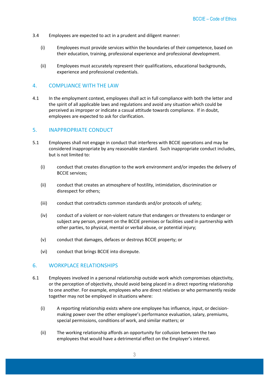- 3.4 Employees are expected to act in a prudent and diligent manner:
	- (i) Employees must provide services within the boundaries of their competence, based on their education, training, professional experience and professional development.
	- (ii) Employees must accurately represent their qualifications, educational backgrounds, experience and professional credentials.

#### <span id="page-3-0"></span>4. COMPLIANCE WITH THE LAW

4.1 In the employment context, employees shall act in full compliance with both the letter and the spirit of all applicable laws and regulations and avoid any situation which could be perceived as improper or indicate a casual attitude towards compliance. If in doubt, employees are expected to ask for clarification.

#### <span id="page-3-1"></span>5. INAPPROPRIATE CONDUCT

- 5.1 Employees shall not engage in conduct that interferes with BCCIE operations and may be considered inappropriate by any reasonable standard. Such inappropriate conduct includes, but is not limited to:
	- (i) conduct that creates disruption to the work environment and/or impedes the delivery of BCCIE services;
	- (ii) conduct that creates an atmosphere of hostility, intimidation, discrimination or disrespect for others;
	- (iii) conduct that contradicts common standards and/or protocols of safety;
	- (iv) conduct of a violent or non-violent nature that endangers or threatens to endanger or subject any person, present on the BCCIE premises or facilities used in partnership with other parties, to physical, mental or verbal abuse, or potential injury;
	- (v) conduct that damages, defaces or destroys BCCIE property; or
	- (vi) conduct that brings BCCIE into disrepute.

#### <span id="page-3-2"></span>6. WORKPLACE RELATIONSHIPS

- 6.1 Employees involved in a personal relationship outside work which compromises objectivity, or the perception of objectivity, should avoid being placed in a direct reporting relationship to one another. For example, employees who are direct relatives or who permanently reside together may not be employed in situations where:
	- (i) A reporting relationship exists where one employee has influence, input, or decisionmaking power over the other employee's performance evaluation, salary, premiums, special permissions, conditions of work, and similar matters; or
	- (ii) The working relationship affords an opportunity for collusion between the two employees that would have a detrimental effect on the Employer's interest.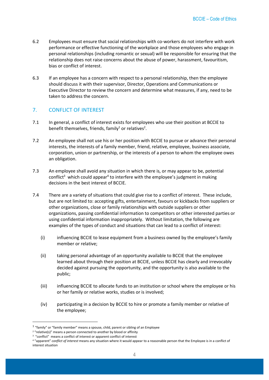- 6.2 Employees must ensure that social relationships with co-workers do not interfere with work performance or effective functioning of the workplace and those employees who engage in personal relationships (including romantic or sexual) will be responsible for ensuring that the relationship does not raise concerns about the abuse of power, harassment, favouritism, bias or conflict of interest.
- 6.3 If an employee has a concern with respect to a personal relationship, then the employee should discuss it with their supervisor, Director, Operations and Communications or Executive Director to review the concern and determine what measures, if any, need to be taken to address the concern.

# <span id="page-4-0"></span>7. CONFLICT OF INTEREST

- 7.1 In general, a conflict of interest exists for employees who use their position at BCCIE to benefit themselves, friends, family<sup>1</sup> or relatives<sup>2</sup>.
- 7.2 An employee shall not use his or her position with BCCIE to pursue or advance their personal interests, the interests of a family member, friend, relative, employee, business associate, corporation, union or partnership, or the interests of a person to whom the employee owes an obligation.
- 7.3 An employee shall avoid any situation in which there is, or may appear to be, potential conflict<sup>3</sup> which could appear<sup>4</sup> to interfere with the employee's judgment in making decisions in the best interest of BCCIE.
- 7.4 There are a variety of situations that could give rise to a conflict of interest. These include, but are not limited to: accepting gifts, entertainment, favours or kickbacks from suppliers or other organizations, close or family relationships with outside suppliers or other organizations, passing confidential information to competitors or other interested parties or using confidential information inappropriately. Without limitation, the following are examples of the types of conduct and situations that can lead to a conflict of interest:
	- (i) influencing BCCIE to lease equipment from a business owned by the employee's family member or relative;
	- (ii) taking personal advantage of an opportunity available to BCCIE that the employee learned about through their position at BCCIE, unless BCCIE has clearly and irrevocably decided against pursuing the opportunity, and the opportunity is also available to the public;
	- (iii) influencing BCCIE to allocate funds to an institution or school where the employee or his or her family or relative works, studies or is involved;
	- (iv) participating in a decision by BCCIE to hire or promote a family member or relative of the employee;

 $\overline{a}$ 

 $^1$  "family" or "family member" means a spouse, child, parent or sibling of an Employee

 $2$  "relative(s)" means a person connected to another by blood or affinity

<sup>&</sup>lt;sup>3</sup> "conflict" means a conflict of interest or apparent conflict of interest

<sup>4</sup> "apparent" *conflict of interest* means any situation where it would appear to a reasonable person that the Employee is in a conflict of interest situation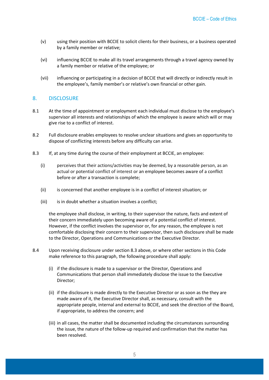- (v) using their position with BCCIE to solicit clients for their business, or a business operated by a family member or relative;
- (vi) influencing BCCIE to make all its travel arrangements through a travel agency owned by a family member or relative of the employee; or
- (vii) influencing or participating in a decision of BCCIE that will directly or indirectly result in the employee's, family member's or relative's own financial or other gain.

#### <span id="page-5-0"></span>8. DISCLOSURE

- 8.1 At the time of appointment or employment each individual must disclose to the employee's supervisor all interests and relationships of which the employee is aware which will or may give rise to a conflict of interest.
- 8.2 Full disclosure enables employees to resolve unclear situations and gives an opportunity to dispose of conflicting interests before any difficulty can arise.
- 8.3 If, at any time during the course of their employment at BCCIE, an employee:
	- (i) perceives that their actions/activities may be deemed, by a reasonable person, as an actual or potential conflict of interest or an employee becomes aware of a conflict before or after a transaction is complete;
	- (ii) is concerned that another employee is in a conflict of interest situation; or
	- (iii) is in doubt whether a situation involves a conflict;

the employee shall disclose, in writing, to their supervisor the nature, facts and extent of their concern immediately upon becoming aware of a potential conflict of interest. However, if the conflict involves the supervisor or, for any reason, the employee is not comfortable disclosing their concern to their supervisor, then such disclosure shall be made to the Director, Operations and Communications or the Executive Director.

- 8.4 Upon receiving disclosure under section 8.3 above, or where other sections in this Code make reference to this paragraph, the following procedure shall apply:
	- (i) if the disclosure is made to a supervisor or the Director, Operations and Communications that person shall immediately disclose the issue to the Executive Director;
	- (ii) if the disclosure is made directly to the Executive Director or as soon as the they are made aware of it, the Executive Director shall, as necessary, consult with the appropriate people, internal and external to BCCIE, and seek the direction of the Board, if appropriate, to address the concern; and
	- (iii) in all cases, the matter shall be documented including the circumstances surrounding the issue, the nature of the follow-up required and confirmation that the matter has been resolved.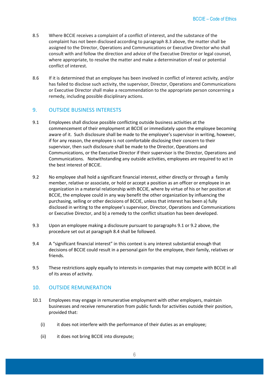- 8.5 Where BCCIE receives a complaint of a conflict of interest, and the substance of the complaint has not been disclosed according to paragraph 8.3 above, the matter shall be assigned to the Director, Operations and Communications or Executive Director who shall consult with and follow the direction and advice of the Executive Director or legal counsel, where appropriate, to resolve the matter and make a determination of real or potential conflict of interest.
- 8.6 If it is determined that an employee has been involved in conflict of interest activity, and/or has failed to disclose such activity, the supervisor, Director, Operations and Communications or Executive Director shall make a recommendation to the appropriate person concerning a remedy, including possible disciplinary actions.

#### <span id="page-6-0"></span>9. OUTSIDE BUSINESS INTERESTS

- 9.1 Employees shall disclose possible conflicting outside business activities at the commencement of their employment at BCCIE or immediately upon the employee becoming aware of it. Such disclosure shall be made to the employee's supervisor in writing, however, if for any reason, the employee is not comfortable disclosing their concern to their supervisor, then such disclosure shall be made to the Director, Operations and Communications, or the Executive Director if their supervisor is the Director, Operations and Communications. Notwithstanding any outside activities, employees are required to act in the best interest of BCCIE.
- 9.2 No employee shall hold a significant financial interest, either directly or through a family member, relative or associate, or hold or accept a position as an officer or employee in an organization in a material relationship with BCCIE, where by virtue of his or her position at BCCIE, the employee could in any way benefit the other organization by influencing the purchasing, selling or other decisions of BCCIE, unless that interest has been a) fully disclosed in writing to the employee's supervisor, Director, Operations and Communications or Executive Director, and b) a remedy to the conflict situation has been developed.
- 9.3 Upon an employee making a disclosure pursuant to paragraphs 9.1 or 9.2 above, the procedure set out at paragraph 8.4 shall be followed.
- 9.4 A "significant financial interest" in this context is any interest substantial enough that decisions of BCCIE could result in a personal gain for the employee, their family, relatives or friends.
- 9.5 These restrictions apply equally to interests in companies that may compete with BCCIE in all of its areas of activity.

#### <span id="page-6-1"></span>10. OUTSIDE REMUNERATION

- 10.1 Employees may engage in remunerative employment with other employers, maintain businesses and receive remuneration from public funds for activities outside their position, provided that:
	- (i) it does not interfere with the performance of their duties as an employee;
	- (ii) it does not bring BCCIE into disrepute;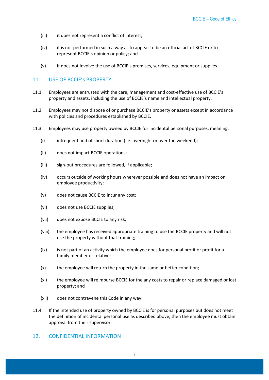- (iii) it does not represent a conflict of interest;
- (iv) it is not performed in such a way as to appear to be an official act of BCCIE or to represent BCCIE's opinion or policy; and
- (v) it does not involve the use of BCCIE's premises, services, equipment or supplies.

## <span id="page-7-0"></span>11. USE OF BCCIE's PROPERTY

- 11.1 Employees are entrusted with the care, management and cost-effective use of BCCIE's property and assets, including the use of BCCIE's name and intellectual property.
- 11.2 Employees may not dispose of or purchase BCCIE's property or assets except in accordance with policies and procedures established by BCCIE.
- 11.3 Employees may use property owned by BCCIE for incidental personal purposes, meaning:
	- (i) infrequent and of short duration (i.e. overnight or over the weekend);
	- (ii) does not impact BCCIE operations;
	- (iii) sign-out procedures are followed, if applicable;
	- (iv) occurs outside of working hours wherever possible and does not have an impact on employee productivity;
	- (v) does not cause BCCIE to incur any cost;
	- (vi) does not use BCCIE supplies;
	- (vii) does not expose BCCIE to any risk;
	- (viii) the employee has received appropriate training to use the BCCIE property and will not use the property without that training;
	- (ix) is not part of an activity which the employee does for personal profit or profit for a family member or relative;
	- (x) the employee will return the property in the same or better condition;
	- (xi) the employee will reimburse BCCIE for the any costs to repair or replace damaged or lost property; and
	- (xii) does not contravene this Code in any way.
- 11.4 If the intended use of property owned by BCCIE is for personal purposes but does not meet the definition of incidental personal use as described above, then the employee must obtain approval from their supervisor.

#### <span id="page-7-1"></span>12. CONFIDENTIAL INFORMATION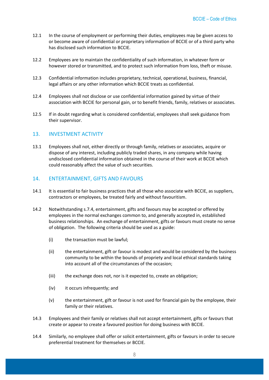- 12.1 In the course of employment or performing their duties, employees may be given access to or become aware of confidential or proprietary information of BCCIE or of a third party who has disclosed such information to BCCIE.
- 12.2 Employees are to maintain the confidentiality of such information, in whatever form or however stored or transmitted, and to protect such information from loss, theft or misuse.
- 12.3 Confidential information includes proprietary, technical, operational, business, financial, legal affairs or any other information which BCCIE treats as confidential.
- 12.4 Employees shall not disclose or use confidential information gained by virtue of their association with BCCIE for personal gain, or to benefit friends, family, relatives or associates.
- 12.5 If in doubt regarding what is considered confidential, employees shall seek guidance from their supervisor.

#### <span id="page-8-0"></span>13. INVESTMENT ACTIVITY

13.1 Employees shall not, either directly or through family, relatives or associates, acquire or dispose of any interest, including publicly traded shares, in any company while having undisclosed confidential information obtained in the course of their work at BCCIE which could reasonably affect the value of such securities.

#### <span id="page-8-1"></span>14. ENTERTAINMENT, GIFTS AND FAVOURS

- 14.1 It is essential to fair business practices that all those who associate with BCCIE, as suppliers, contractors or employees, be treated fairly and without favouritism.
- 14.2 Notwithstanding s.7.4, entertainment, gifts and favours may be accepted or offered by employees in the normal exchanges common to, and generally accepted in, established business relationships. An exchange of entertainment, gifts or favours must create no sense of obligation. The following criteria should be used as a guide:
	- (i) the transaction must be lawful;
	- (ii) the entertainment, gift or favour is modest and would be considered by the business community to be within the bounds of propriety and local ethical standards taking into account all of the circumstances of the occasion;
	- (iii) the exchange does not, nor is it expected to, create an obligation;
	- (iv) it occurs infrequently; and
	- (v) the entertainment, gift or favour is not used for financial gain by the employee, their family or their relatives.
- 14.3 Employees and their family or relatives shall not accept entertainment, gifts or favours that create or appear to create a favoured position for doing business with BCCIE.
- 14.4 Similarly, no employee shall offer or solicit entertainment, gifts or favours in order to secure preferential treatment for themselves or BCCIE.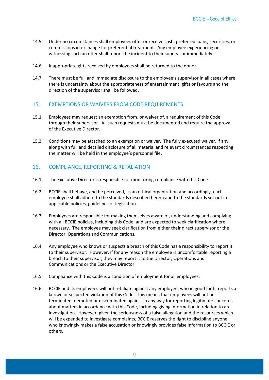- 14.5 Under no circumstances shall employees offer or receive cash, preferred loans, securities, or commissions in exchange for preferential treatment. Any employee experiencing or witnessing such an offer shall report the incident to their supervisor immediately.
- 14.6 Inappropriate gifts received by employees shall be returned to the donor.
- 14.7 There must be full and immediate disclosure to the employee's supervisor in all cases where there is uncertainty about the appropriateness of entertainment, gifts or favours and the direction of the supervisor shall be followed.

#### <span id="page-9-0"></span>15. EXEMPTIONS OR WAIVERS FROM CODE REQUIREMENTS

- 15.1 Employees may request an exemption from, or waiver of, a requirement of this Code through their supervisor. All such requests must be documented and require the approval of the Executive Director.
- 15.2 Conditions may be attached to an exemption or waiver. The fully executed waiver, if any, along with full and detailed disclosure of all material and relevant circumstances respecting the matter will be held in the employee's personnel file.

#### <span id="page-9-1"></span>16. COMPLIANCE, REPORTING & RETALIATION

- 16.1 The Executive Director is responsible for monitoring compliance with this Code.
- 16.2 BCCIE shall behave, and be perceived, as an ethical organization and accordingly, each employee shall adhere to the standards described herein and to the standards set out in applicable policies, guidelines or legislation.
- 16.3 Employees are responsible for making themselves aware of, understanding and complying with all BCCIE policies, including this Code, and are expected to seek clarification where necessary. The employee may seek clarification from either their direct supervisor or the Director, Operations and Communications.
- 16.4 Any employee who knows or suspects a breach of this Code has a responsibility to report it to their supervisor. However, if for any reason the employee is uncomfortable reporting a breach to their supervisor, they may report it to the Director, Operations and Communications or the Executive Director.
- 16.5 Compliance with this Code is a condition of employment for all employees.
- 16.6 BCCIE and its employees will not retaliate against any employee, who in good faith, reports a known or suspected violation of this Code. This means that employees will not be terminated, demoted or discriminated against in any way for reporting legitimate concerns about matters in accordance with this Code, including giving information in relation to an investigation. However, given the seriousness of a false allegation and the resources which will be expended to investigate complaints, BCCIE reserves the right to discipline anyone who knowingly makes a false accusation or knowingly provides false information to BCCIE or others.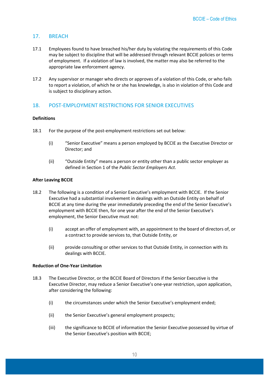#### <span id="page-10-0"></span>17. BREACH

- 17.1 Employees found to have breached his/her duty by violating the requirements of this Code may be subject to discipline that will be addressed through relevant BCCIE policies or terms of employment.If a violation of law is involved, the matter may also be referred to the appropriate law enforcement agency.
- 17.2 Any supervisor or manager who directs or approves of a violation of this Code, or who fails to report a violation, of which he or she has knowledge, is also in violation of this Code and is subject to disciplinary action.

## <span id="page-10-1"></span>18. POST-EMPLOYMENT RESTRICTIONS FOR SENIOR EXECUTIVES

#### **Definitions**

- 18.1 For the purpose of the post-employment restrictions set out below:
	- (i) "Senior Executive" means a person employed by BCCIE as the Executive Director or Director; and
	- (ii) "Outside Entity" means a person or entity other than a public sector employer as defined in Section 1 of the *Public Sector Employers Act*.

#### **After Leaving BCCIE**

- 18.2 The following is a condition of a Senior Executive's employment with BCCIE. If the Senior Executive had a substantial involvement in dealings with an Outside Entity on behalf of BCCIE at any time during the year immediately preceding the end of the Senior Executive's employment with BCCIE then, for one year after the end of the Senior Executive's employment, the Senior Executive must not:
	- (i) accept an offer of employment with, an appointment to the board of directors of, or a contract to provide services to, that Outside Entity, or
	- (ii) provide consulting or other services to that Outside Entity, in connection with its dealings with BCCIE.

#### **Reduction of One-Year Limitation**

- 18.3 The Executive Director, or the BCCIE Board of Directors if the Senior Executive is the Executive Director, may reduce a Senior Executive's one-year restriction, upon application, after considering the following:
	- (i) the circumstances under which the Senior Executive's employment ended;
	- (ii) the Senior Executive's general employment prospects;
	- (iii) the significance to BCCIE of information the Senior Executive possessed by virtue of the Senior Executive's position with BCCIE;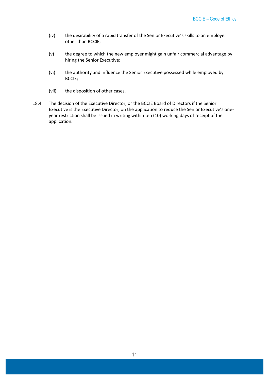- (iv) the desirability of a rapid transfer of the Senior Executive's skills to an employer other than BCCIE;
- (v) the degree to which the new employer might gain unfair commercial advantage by hiring the Senior Executive;
- (vi) the authority and influence the Senior Executive possessed while employed by BCCIE;
- (vii) the disposition of other cases.
- 18.4 The decision of the Executive Director, or the BCCIE Board of Directors if the Senior Executive is the Executive Director, on the application to reduce the Senior Executive's oneyear restriction shall be issued in writing within ten (10) working days of receipt of the application.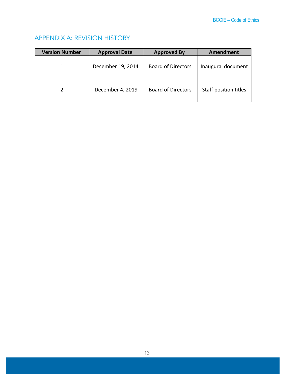# **APPENDIX A: REVISION HISTORY**

| <b>Version Number</b> | <b>Approval Date</b> | <b>Approved By</b>        | Amendment             |
|-----------------------|----------------------|---------------------------|-----------------------|
|                       | December 19, 2014    | <b>Board of Directors</b> | Inaugural document    |
|                       | December 4, 2019     | <b>Board of Directors</b> | Staff position titles |